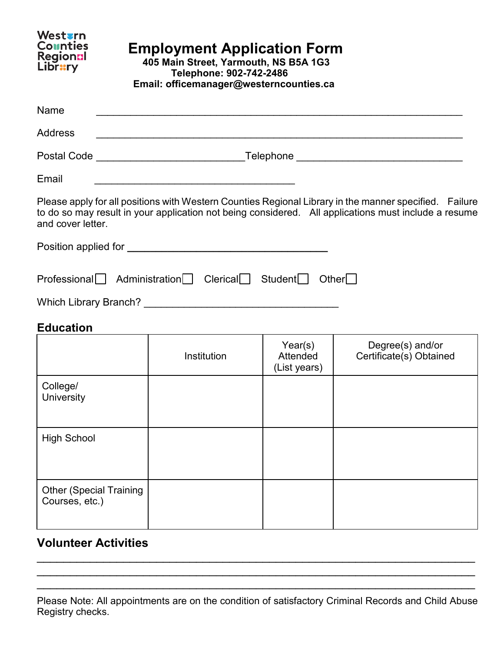| Westvrn<br><b>Counties</b><br>Regionnl<br><b>Library</b>         | <b>Employment Application Form</b><br>405 Main Street, Yarmouth, NS B5A 1G3<br>Telephone: 902-742-2486<br>Email: officemanager@westerncounties.ca |                                                                                                                       |                                            |                                                                                                                                                                                                                |  |  |
|------------------------------------------------------------------|---------------------------------------------------------------------------------------------------------------------------------------------------|-----------------------------------------------------------------------------------------------------------------------|--------------------------------------------|----------------------------------------------------------------------------------------------------------------------------------------------------------------------------------------------------------------|--|--|
| <b>Name</b>                                                      |                                                                                                                                                   |                                                                                                                       |                                            |                                                                                                                                                                                                                |  |  |
| Address                                                          |                                                                                                                                                   |                                                                                                                       |                                            |                                                                                                                                                                                                                |  |  |
|                                                                  |                                                                                                                                                   |                                                                                                                       |                                            | Postal Code ___________________________________Telephone _______________________                                                                                                                               |  |  |
| Email                                                            |                                                                                                                                                   | <u> 1989 - Johann John Stoff, deutscher Stoffen und der Stoffen und der Stoffen und der Stoffen und der Stoffen u</u> |                                            |                                                                                                                                                                                                                |  |  |
| and cover letter.                                                |                                                                                                                                                   |                                                                                                                       |                                            | Please apply for all positions with Western Counties Regional Library in the manner specified. Failure<br>to do so may result in your application not being considered. All applications must include a resume |  |  |
|                                                                  |                                                                                                                                                   |                                                                                                                       |                                            |                                                                                                                                                                                                                |  |  |
| Professional Administration Clerical Student<br><b>Education</b> |                                                                                                                                                   |                                                                                                                       |                                            | Other                                                                                                                                                                                                          |  |  |
|                                                                  |                                                                                                                                                   | Institution                                                                                                           | Year(s)<br><b>Attended</b><br>(List years) | Degree(s) and/or<br>Certificate(s) Obtained                                                                                                                                                                    |  |  |
| College/<br>University                                           |                                                                                                                                                   |                                                                                                                       |                                            |                                                                                                                                                                                                                |  |  |
| <b>High School</b>                                               |                                                                                                                                                   |                                                                                                                       |                                            |                                                                                                                                                                                                                |  |  |
| <b>Other (Special Training</b><br>Courses, etc.)                 |                                                                                                                                                   |                                                                                                                       |                                            |                                                                                                                                                                                                                |  |  |

## **Volunteer Activities**

\_\_\_\_\_\_\_\_\_\_\_\_\_\_\_\_\_\_\_\_\_\_\_\_\_\_\_\_\_\_\_\_\_\_\_\_\_\_\_\_\_\_\_\_\_\_\_\_\_\_\_\_\_\_\_\_\_\_\_\_\_\_\_\_\_\_  $\overline{\phantom{a}}$  , and the contribution of the contribution of the contribution of the contribution of the contribution of the contribution of the contribution of the contribution of the contribution of the contribution of the  $\overline{\phantom{a}}$  , and the contribution of the contribution of the contribution of the contribution of the contribution of the contribution of the contribution of the contribution of the contribution of the contribution of the

Please Note: All appointments are on the condition of satisfactory Criminal Records and Child Abuse Registry checks.